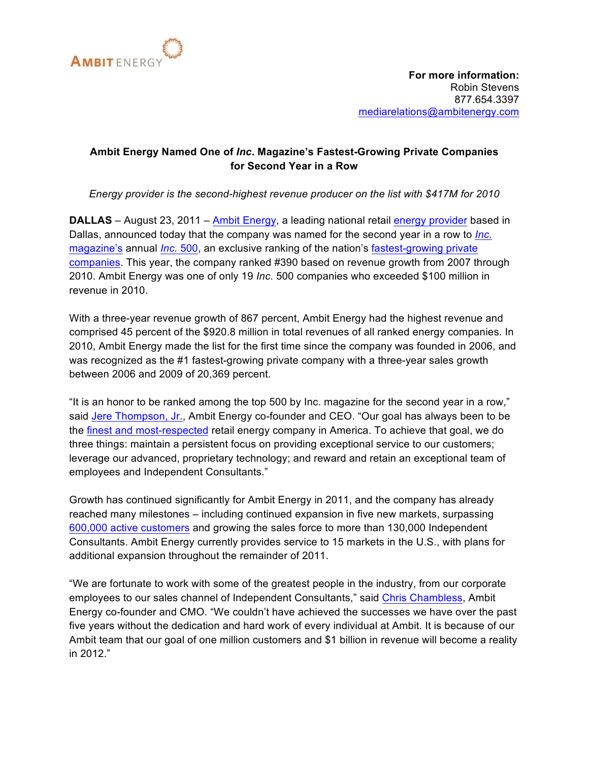

## **Ambit Energy Named One of** *Inc***. Magazine's Fastest-Growing Private Companies for Second Year in a Row**

*Energy provider is the second-highest revenue producer on the list with \$417M for 2010*

**DALLAS** – August 23, 2011 – Ambit Energy, a leading national retail energy provider based in Dallas, announced today that the company was named for the second year in a row to *Inc.* magazine's annual *Inc.* 500, an exclusive ranking of the nation's fastest-growing private companies. This year, the company ranked #390 based on revenue growth from 2007 through 2010. Ambit Energy was one of only 19 *Inc*. 500 companies who exceeded \$100 million in revenue in 2010.

With a three-year revenue growth of 867 percent, Ambit Energy had the highest revenue and comprised 45 percent of the \$920.8 million in total revenues of all ranked energy companies. In 2010, Ambit Energy made the list for the first time since the company was founded in 2006, and was recognized as the #1 fastest-growing private company with a three-year sales growth between 2006 and 2009 of 20,369 percent.

"It is an honor to be ranked among the top 500 by Inc. magazine for the second year in a row," said Jere Thompson, Jr., Ambit Energy co-founder and CEO. "Our goal has always been to be the finest and most-respected retail energy company in America. To achieve that goal, we do three things: maintain a persistent focus on providing exceptional service to our customers; leverage our advanced, proprietary technology; and reward and retain an exceptional team of employees and Independent Consultants."

Growth has continued significantly for Ambit Energy in 2011, and the company has already reached many milestones – including continued expansion in five new markets, surpassing 600,000 active customers and growing the sales force to more than 130,000 Independent Consultants. Ambit Energy currently provides service to 15 markets in the U.S., with plans for additional expansion throughout the remainder of 2011.

"We are fortunate to work with some of the greatest people in the industry, from our corporate employees to our sales channel of Independent Consultants," said Chris Chambless, Ambit Energy co-founder and CMO. "We couldn't have achieved the successes we have over the past five years without the dedication and hard work of every individual at Ambit. It is because of our Ambit team that our goal of one million customers and \$1 billion in revenue will become a reality in 2012."